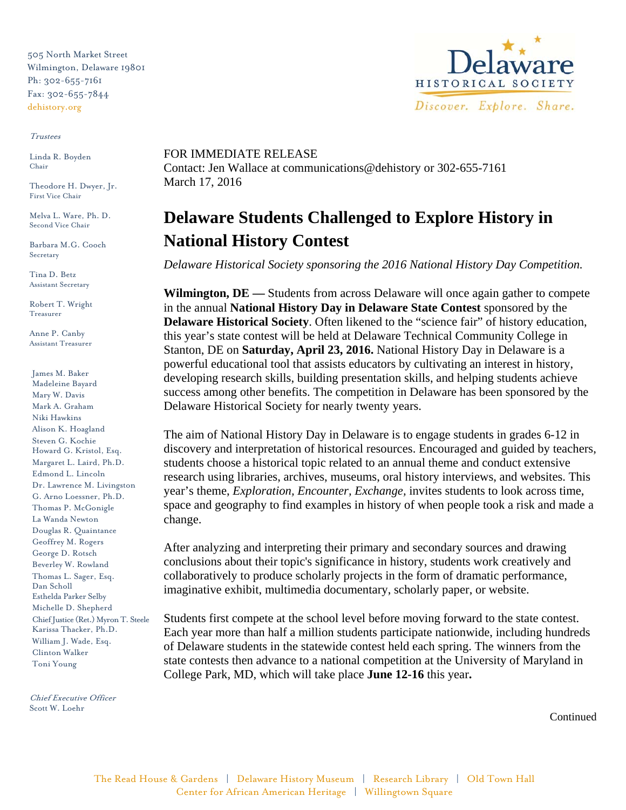505 North Market Street Wilmington, Delaware 19801 Ph: 302-655-7161 Fax: 302-655-7844 dehistory.org

## Trustees

Linda R. Boyden Chair

Theodore H. Dwyer, Jr. First Vice Chair

Melva L. Ware, Ph. D. Second Vice Chair

Barbara M.G. Cooch Secretary

Tina D. Betz Assistant Secretary

Robert T. Wright Treasurer

Anne P. Canby Assistant Treasurer

James M. Baker Madeleine Bayard Mary W. Davis Mark A. Graham Niki Hawkins Alison K. Hoagland Steven G. Kochie Howard G. Kristol, Esq. Margaret L. Laird, Ph.D. Edmond L. Lincoln Dr. Lawrence M. Livingston G. Arno Loessner, Ph.D. Thomas P. McGonigle La Wanda Newton Douglas R. Quaintance Geoffrey M. Rogers George D. Rotsch Beverley W. Rowland Thomas L. Sager, Esq. Dan Scholl Esthelda Parker Selby Michelle D. Shepherd Chief Justice (Ret.) Myron T. Steele Karissa Thacker, Ph.D. William J. Wade, Esq. Clinton Walker Toni Young

Chief Executive Officer Scott W. Loehr



## FOR IMMEDIATE RELEASE

Contact: Jen Wallace at communications@dehistory or 302-655-7161 March 17, 2016

## **Delaware Students Challenged to Explore History in National History Contest**

*Delaware Historical Society sponsoring the 2016 National History Day Competition.*

**Wilmington, DE —** Students from across Delaware will once again gather to compete in the annual **National History Day in Delaware State Contest** sponsored by the **Delaware Historical Society**. Often likened to the "science fair" of history education, this year's state contest will be held at Delaware Technical Community College in Stanton, DE on **Saturday, April 23, 2016.** National History Day in Delaware is a powerful educational tool that assists educators by cultivating an interest in history, developing research skills, building presentation skills, and helping students achieve success among other benefits. The competition in Delaware has been sponsored by the Delaware Historical Society for nearly twenty years.

The aim of National History Day in Delaware is to engage students in grades 6-12 in discovery and interpretation of historical resources. Encouraged and guided by teachers, students choose a historical topic related to an annual theme and conduct extensive research using libraries, archives, museums, oral history interviews, and websites. This year's theme, *Exploration, Encounter, Exchange,* invites students to look across time, space and geography to find examples in history of when people took a risk and made a change.

After analyzing and interpreting their primary and secondary sources and drawing conclusions about their topic's significance in history, students work creatively and collaboratively to produce scholarly projects in the form of dramatic performance, imaginative exhibit, multimedia documentary, scholarly paper, or website.

Students first compete at the school level before moving forward to the state contest. Each year more than half a million students participate nationwide, including hundreds of Delaware students in the statewide contest held each spring. The winners from the state contests then advance to a national competition at the University of Maryland in College Park, MD, which will take place **June 12-16** this year**.**

Continued